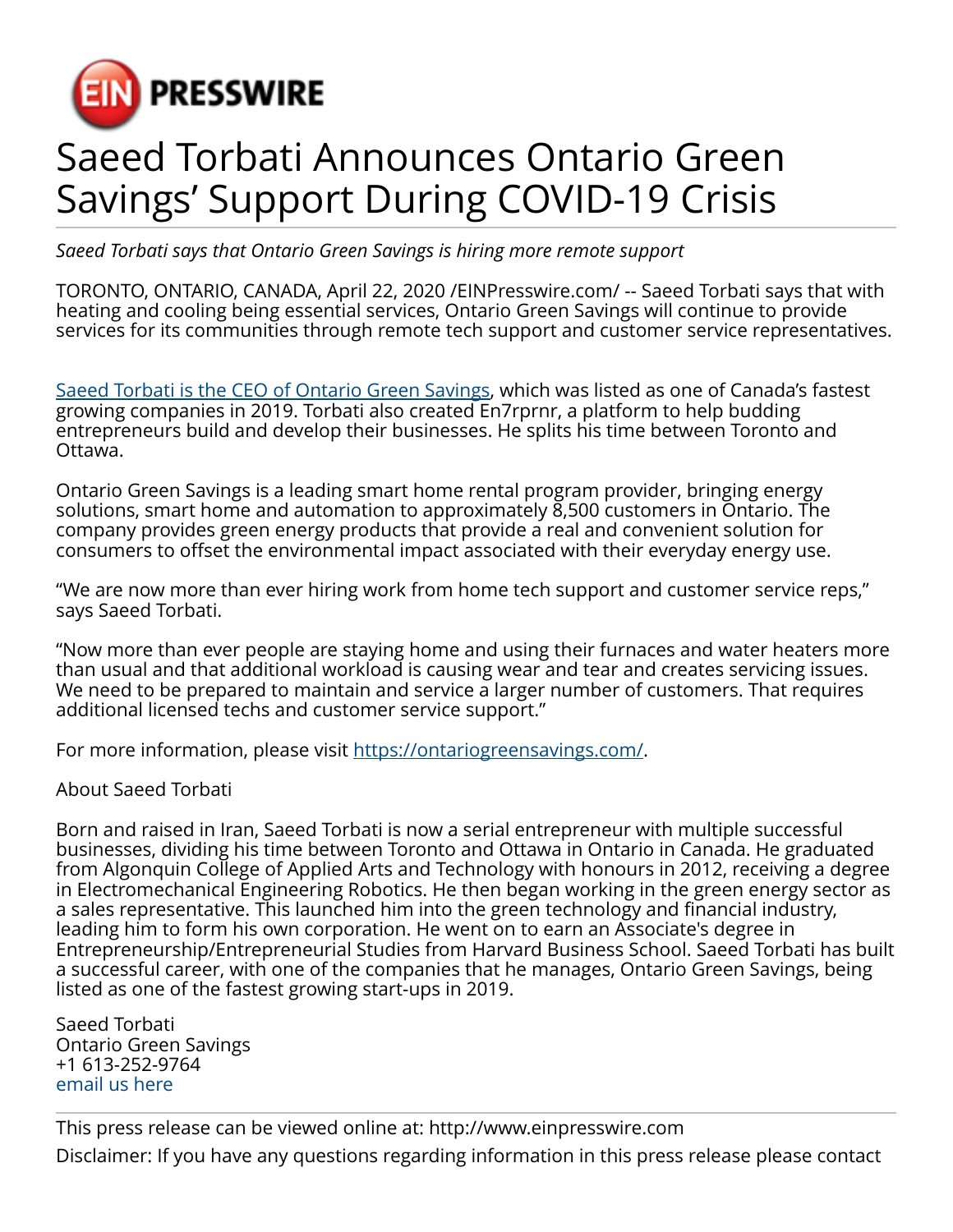

## Saeed Torbati Announces Ontario Green Savings' Support During COVID-19 Crisis

*Saeed Torbati says that Ontario Green Savings is hiring more remote support*

TORONTO, ONTARIO, CANADA, April 22, 2020 /[EINPresswire.com/](http://www.einpresswire.com) -- Saeed Torbati says that with heating and cooling being essential services, Ontario Green Savings will continue to provide services for its communities through remote tech support and customer service representatives.

[Saeed Torbati is the CEO of Ontario Green Savings,](https://saeedtorbati.ca/) which was listed as one of Canada's fastest growing companies in 2019. Torbati also created En7rprnr, a platform to help budding entrepreneurs build and develop their businesses. He splits his time between Toronto and Ottawa.

Ontario Green Savings is a leading smart home rental program provider, bringing energy solutions, smart home and automation to approximately 8,500 customers in Ontario. The company provides green energy products that provide a real and convenient solution for consumers to offset the environmental impact associated with their everyday energy use.

"We are now more than ever hiring work from home tech support and customer service reps," says Saeed Torbati.

"Now more than ever people are staying home and using their furnaces and water heaters more than usual and that additional workload is causing wear and tear and creates servicing issues. We need to be prepared to maintain and service a larger number of customers. That requires additional licensed techs and customer service support."

For more information, please visit [https://ontariogreensavings.com/.](https://ontariogreensavings.com/)

About Saeed Torbati

Born and raised in Iran, Saeed Torbati is now a serial entrepreneur with multiple successful businesses, dividing his time between Toronto and Ottawa in Ontario in Canada. He graduated from Algonquin College of Applied Arts and Technology with honours in 2012, receiving a degree in Electromechanical Engineering Robotics. He then began working in the green energy sector as a sales representative. This launched him into the green technology and financial industry, leading him to form his own corporation. He went on to earn an Associate's degree in Entrepreneurship/Entrepreneurial Studies from Harvard Business School. Saeed Torbati has built a successful career, with one of the companies that he manages, Ontario Green Savings, being listed as one of the fastest growing start-ups in 2019.

Saeed Torbati Ontario Green Savings +1 613-252-9764 [email us here](http://www.einpresswire.com/contact_author/2817709)

This press release can be viewed online at: [http://www.einpresswire.com](http://www.einpresswire.com/) Disclaimer: If you have any questions regarding information in this press release please contact